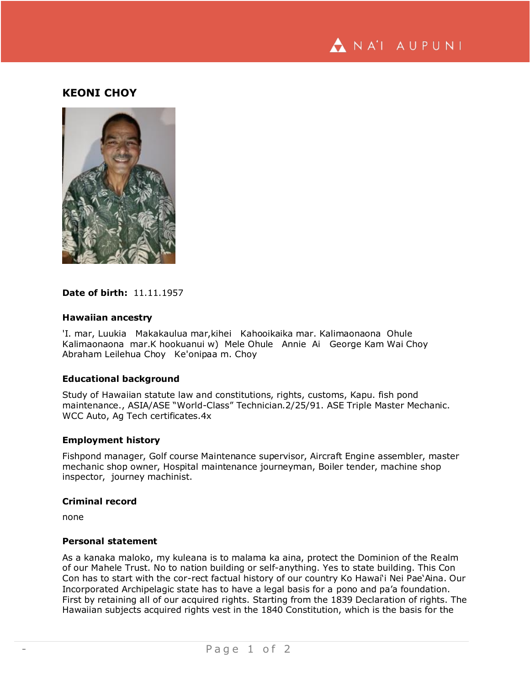

# **KEONI CHOY**



#### **Date of birth:** 11.11.1957

#### **Hawaiian ancestry**

'I. mar, Luukia Makakaulua mar,kihei Kahooikaika mar. Kalimaonaona Ohule Kalimaonaona mar.K hookuanui w) Mele Ohule Annie Ai George Kam Wai Choy Abraham Leilehua Choy Ke'onipaa m. Choy

### **Educational background**

Study of Hawaiian statute law and constitutions, rights, customs, Kapu. fish pond maintenance., ASIA/ASE "World-Class" Technician.2/25/91. ASE Triple Master Mechanic. WCC Auto, Ag Tech certificates.4x

#### **Employment history**

Fishpond manager, Golf course Maintenance supervisor, Aircraft Engine assembler, master mechanic shop owner, Hospital maintenance journeyman, Boiler tender, machine shop inspector, journey machinist.

### **Criminal record**

none

#### **Personal statement**

As a kanaka maloko, my kuleana is to malama ka aina, protect the Dominion of the Realm of our Mahele Trust. No to nation building or self-anything. Yes to state building. This Con Con has to start with the cor-rect factual history of our country Ko Hawai'i Nei Pae'Aina. Our Incorporated Archipelagic state has to have a legal basis for a pono and pa'a foundation. First by retaining all of our acquired rights. Starting from the 1839 Declaration of rights. The Hawaiian subjects acquired rights vest in the 1840 Constitution, which is the basis for the